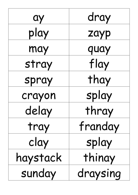| ay       | dray     |
|----------|----------|
| play     | zayp     |
| may      | quay     |
| stray    | flay     |
| spray    | thay     |
| crayon   | splay    |
| delay    | thray    |
| tray     | franday  |
| clay     | splay    |
| haystack | thinay   |
| sunday   | draysing |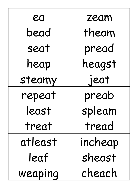| ea      | zeam    |
|---------|---------|
| bead    | theam   |
| seat    | pread   |
| heap    | heagst  |
| steamy  | jeat    |
| repeat  | preab   |
| least   | spleam  |
| treat   | tread   |
| atleast | incheap |
| leaf    | sheast  |
| weaping | cheach  |

 $\overline{1}$ 

 $\overline{\phantom{a}}$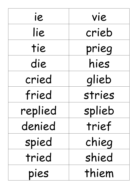| ie      | vie    |
|---------|--------|
| lie     | crieb  |
| tie     | prieg  |
| die     | hies   |
| cried   | glieb  |
| fried   | stries |
| replied | splieb |
| denied  | trief  |
| spied   | chieg  |
| tried   | shied  |
| pies    | thiem  |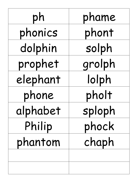| ph       | phame  |
|----------|--------|
| phonics  | phont  |
| dolphin  | solph  |
| prophet  | grolph |
| elephant | lolph  |
| phone    | pholt  |
| alphabet | sploph |
| Philip   | phock  |
| phantom  | chaph  |
|          |        |
|          |        |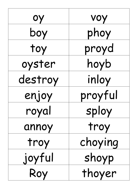| ОУ      | voy     |
|---------|---------|
| boy     | phoy    |
| toy     | proyd   |
| oyster  | hoyb    |
| destroy | inloy   |
| enjoy   | proyful |
| royal   | sploy   |
| annoy   | troy    |
| troy    | choying |
| joyful  | shoyp   |
| Roy     | thoyer  |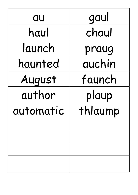| au        | gaul    |
|-----------|---------|
| haul      | chaul   |
| launch    | praug   |
| haunted   | auchin  |
| August    | faunch  |
| author    | plaup   |
| automatic | thlaump |
|           |         |
|           |         |
|           |         |
|           |         |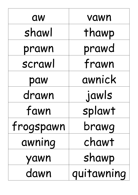| <b>aw</b> | vawn       |
|-----------|------------|
| shawl     | thawp      |
| prawn     | prawd      |
| scrawl    | frawn      |
| paw       | awnick     |
| drawn     | jawls      |
| fawn      | splawt     |
| frogspawn | brawg      |
| awning    | chawt      |
| yawn      | shawp      |
| dawn      | quitawning |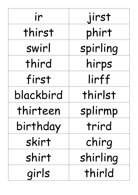| ir        | jirst    |
|-----------|----------|
| thirst    | phirt    |
| swirl     | spirling |
| third     | hirps    |
| first     | lirff    |
| blackbird | thirlst  |
| thirteen  | splirmp  |
| birthday  | trird    |
| skirt     | chirg    |
| shirt     | shirling |
| girls     | thirld   |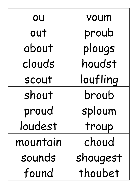| OU       | voum     |
|----------|----------|
| out      | proub    |
| about    | plougs   |
| clouds   | houdst   |
| scout    | loufling |
| shout    | broub    |
| proud    | sploum   |
| loudest  | troup    |
| mountain | choud    |
| sounds   | shougest |
| found    | thoubet  |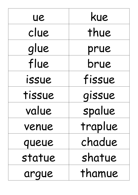| ue     | kue     |
|--------|---------|
| clue   | thue    |
| glue   | prue    |
| flue   | brue    |
| issue  | fissue  |
| tissue | gissue  |
| value  | spalue  |
| venue  | traplue |
| queue  | chadue  |
| statue | shatue  |
| arque  | thamue  |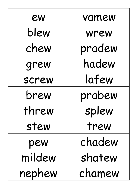| ew     | vamew  |
|--------|--------|
| blew   | wrew   |
| chew   | pradew |
| grew   | hadew  |
| screw  | lafew  |
| brew   | prabew |
| threw  | splew  |
| stew   | trew   |
| pew    | chadew |
| mildew | shatew |
| nephew | chamew |